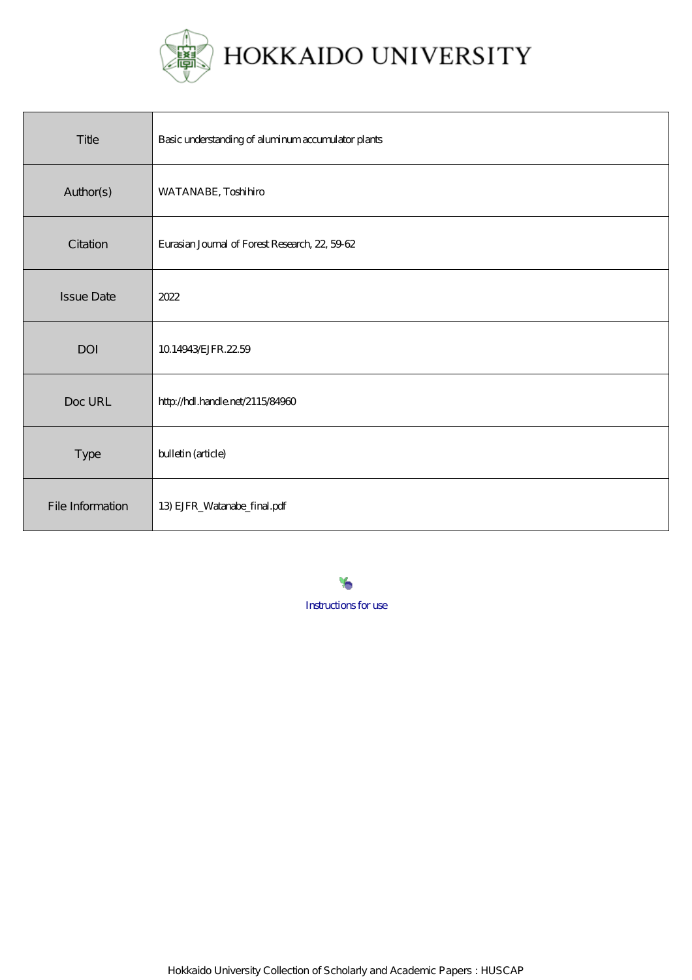

| Title             | Basic understanding of aluminum accumulator plants |
|-------------------|----------------------------------------------------|
| Author(s)         | WATANABE, Toshihiro                                |
| Citation          | Eurasian Journal of Forest Research, 22, 5962      |
| <b>Issue Date</b> | 2022                                               |
| DOI               | 10.14943 EJFR, 22.59                               |
| Doc URL           | http://hdl.handle.net/2115/84960                   |
| Type              | bulletin (article)                                 |
| File Information  | 13) EJFR_Watanabe_final.pdf                        |

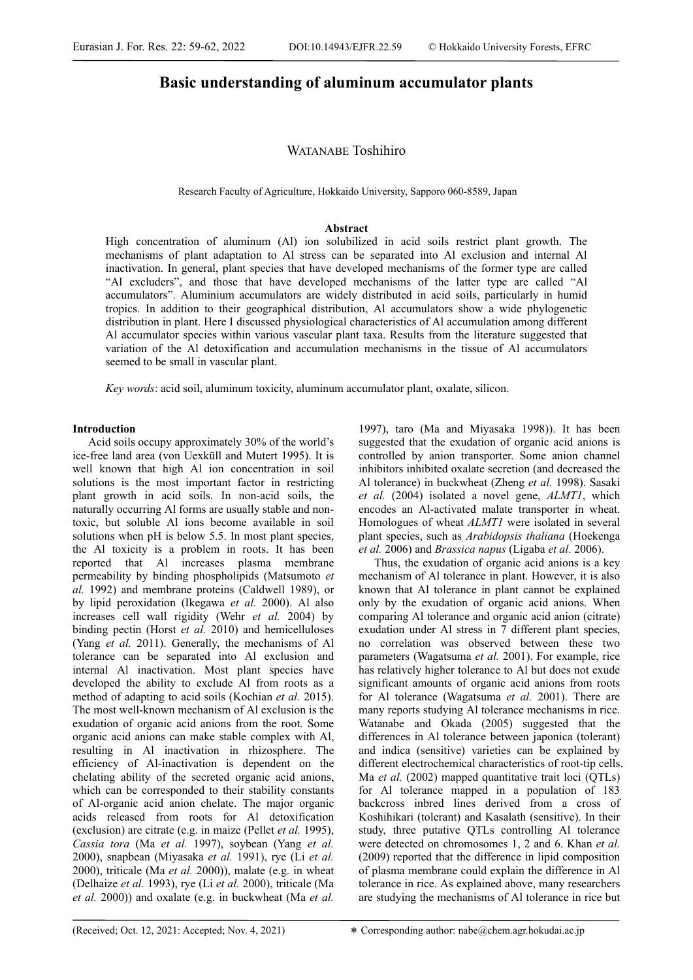# **Basic understanding of aluminum accumulator plants**

# WATANABE Toshihiro

Research Faculty of Agriculture, Hokkaido University, Sapporo 060-8589, Japan

## **Abstract**

High concentration of aluminum (Al) ion solubilized in acid soils restrict plant growth. The mechanisms of plant adaptation to Al stress can be separated into Al exclusion and internal Al inactivation. In general, plant species that have developed mechanisms of the former type are called "Al excluders", and those that have developed mechanisms of the latter type are called "Al accumulators". Aluminium accumulators are widely distributed in acid soils, particularly in humid tropics. In addition to their geographical distribution, Al accumulators show a wide phylogenetic distribution in plant. Here I discussed physiological characteristics of Al accumulation among different Al accumulator species within various vascular plant taxa. Results from the literature suggested that variation of the Al detoxification and accumulation mechanisms in the tissue of Al accumulators seemed to be small in vascular plant.

*Key words*: acid soil, aluminum toxicity, aluminum accumulator plant, oxalate, silicon.

# **Introduction**

Acid soils occupy approximately 30% of the world's ice-free land area (von Uexküll and Mutert 1995). It is well known that high Al ion concentration in soil solutions is the most important factor in restricting plant growth in acid soils. In non-acid soils, the naturally occurring Al forms are usually stable and nontoxic, but soluble Al ions become available in soil solutions when pH is below 5.5. In most plant species, the Al toxicity is a problem in roots. It has been reported that Al increases plasma membrane permeability by binding phospholipids (Matsumoto *et al.* 1992) and membrane proteins (Caldwell 1989), or by lipid peroxidation (Ikegawa *et al.* 2000). Al also increases cell wall rigidity (Wehr *et al.* 2004) by binding pectin (Horst *et al.* 2010) and hemicelluloses (Yang *et al.* 2011). Generally, the mechanisms of Al tolerance can be separated into Al exclusion and internal Al inactivation. Most plant species have developed the ability to exclude Al from roots as a method of adapting to acid soils (Kochian *et al.* 2015). The most well-known mechanism of Al exclusion is the exudation of organic acid anions from the root. Some organic acid anions can make stable complex with Al, resulting in Al inactivation in rhizosphere. The efficiency of Al-inactivation is dependent on the chelating ability of the secreted organic acid anions, which can be corresponded to their stability constants of Al-organic acid anion chelate. The major organic acids released from roots for Al detoxification (exclusion) are citrate (e.g. in maize (Pellet *et al.* 1995), *Cassia tora* (Ma *et al.* 1997), soybean (Yang *et al.* 2000), snapbean (Miyasaka *et al.* 1991), rye (Li *et al.* 2000), triticale (Ma *et al.* 2000)), malate (e.g. in wheat (Delhaize *et al.* 1993), rye (Li *et al.* 2000), triticale (Ma *et al.* 2000)) and oxalate (e.g. in buckwheat (Ma *et al.* 1997), taro (Ma and Miyasaka 1998)). It has been suggested that the exudation of organic acid anions is controlled by anion transporter. Some anion channel inhibitors inhibited oxalate secretion (and decreased the Al tolerance) in buckwheat (Zheng *et al.* 1998). Sasaki *et al.* (2004) isolated a novel gene, *ALMT1*, which encodes an Al-activated malate transporter in wheat. Homologues of wheat *ALMT1* were isolated in several plant species, such as *Arabidopsis thaliana* (Hoekenga *et al.* 2006) and *Brassica napus* (Ligaba *et al.* 2006).

Thus, the exudation of organic acid anions is a key mechanism of Al tolerance in plant. However, it is also known that Al tolerance in plant cannot be explained only by the exudation of organic acid anions. When comparing Al tolerance and organic acid anion (citrate) exudation under Al stress in 7 different plant species, no correlation was observed between these two parameters (Wagatsuma *et al.* 2001). For example, rice has relatively higher tolerance to Al but does not exude significant amounts of organic acid anions from roots for Al tolerance (Wagatsuma *et al.* 2001). There are many reports studying Al tolerance mechanisms in rice. Watanabe and Okada (2005) suggested that the differences in Al tolerance between japonica (tolerant) and indica (sensitive) varieties can be explained by different electrochemical characteristics of root-tip cells. Ma *et al.* (2002) mapped quantitative trait loci (QTLs) for Al tolerance mapped in a population of 183 backcross inbred lines derived from a cross of Koshihikari (tolerant) and Kasalath (sensitive). In their study, three putative QTLs controlling Al tolerance were detected on chromosomes 1, 2 and 6. Khan *et al.* (2009) reported that the difference in lipid composition of plasma membrane could explain the difference in Al tolerance in rice. As explained above, many researchers are studying the mechanisms of Al tolerance in rice but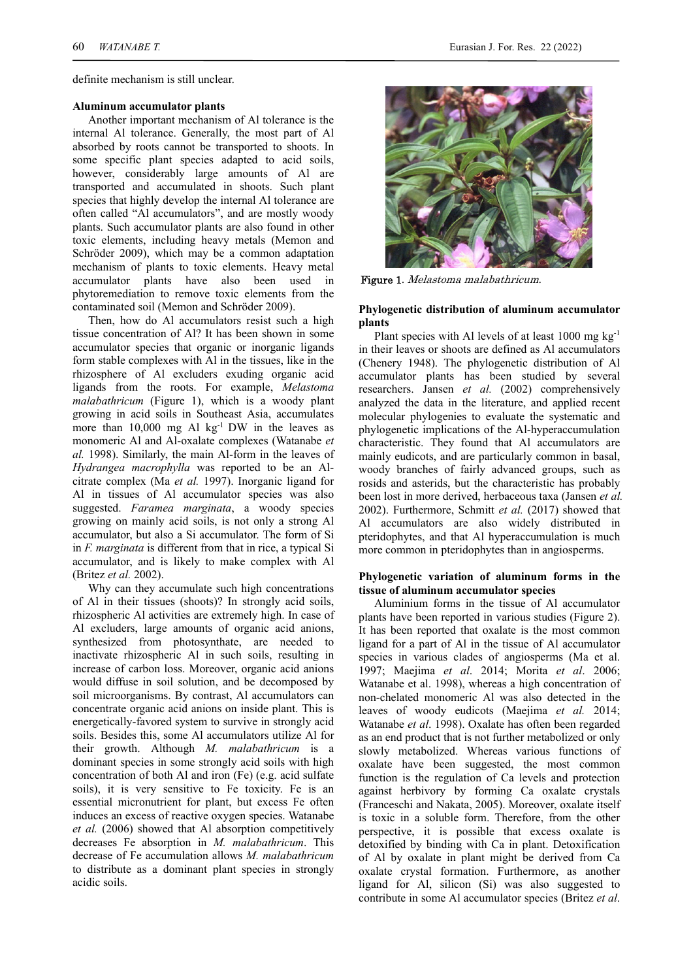definite mechanism is still unclear.

#### **Aluminum accumulator plants**

Another important mechanism of Al tolerance is the internal Al tolerance. Generally, the most part of Al absorbed by roots cannot be transported to shoots. In some specific plant species adapted to acid soils, however, considerably large amounts of Al are transported and accumulated in shoots. Such plant species that highly develop the internal Al tolerance are often called "Al accumulators", and are mostly woody plants. Such accumulator plants are also found in other toxic elements, including heavy metals (Memon and Schröder 2009), which may be a common adaptation mechanism of plants to toxic elements. Heavy metal accumulator plants have also been used in phytoremediation to remove toxic elements from the contaminated soil (Memon and Schröder 2009).

Then, how do Al accumulators resist such a high tissue concentration of Al? It has been shown in some accumulator species that organic or inorganic ligands form stable complexes with Al in the tissues, like in the rhizosphere of Al excluders exuding organic acid ligands from the roots. For example, *Melastoma malabathricum* (Figure 1), which is a woody plant growing in acid soils in Southeast Asia, accumulates more than 10,000 mg Al  $kg^{-1}$  DW in the leaves as monomeric Al and Al-oxalate complexes (Watanabe *et al.* 1998). Similarly, the main Al-form in the leaves of *Hydrangea macrophylla* was reported to be an Alcitrate complex (Ma *et al.* 1997). Inorganic ligand for Al in tissues of Al accumulator species was also suggested. *Faramea marginata*, a woody species growing on mainly acid soils, is not only a strong Al accumulator, but also a Si accumulator. The form of Si in *F. marginata* is different from that in rice, a typical Si accumulator, and is likely to make complex with Al (Britez *et al.* 2002).

Why can they accumulate such high concentrations of Al in their tissues (shoots)? In strongly acid soils, rhizospheric Al activities are extremely high. In case of Al excluders, large amounts of organic acid anions, synthesized from photosynthate, are needed to inactivate rhizospheric Al in such soils, resulting in increase of carbon loss. Moreover, organic acid anions would diffuse in soil solution, and be decomposed by soil microorganisms. By contrast, Al accumulators can concentrate organic acid anions on inside plant. This is energetically-favored system to survive in strongly acid soils. Besides this, some Al accumulators utilize Al for their growth. Although *M. malabathricum* is a dominant species in some strongly acid soils with high concentration of both Al and iron (Fe) (e.g. acid sulfate soils), it is very sensitive to Fe toxicity. Fe is an essential micronutrient for plant, but excess Fe often induces an excess of reactive oxygen species. Watanabe *et al.* (2006) showed that Al absorption competitively decreases Fe absorption in *M. malabathricum*. This decrease of Fe accumulation allows *M. malabathricum* to distribute as a dominant plant species in strongly acidic soils.



Figure 1. Melastoma malabathricum.

### **Phylogenetic distribution of aluminum accumulator plants**

Plant species with Al levels of at least 1000 mg kg-1 in their leaves or shoots are defined as Al accumulators (Chenery 1948). The phylogenetic distribution of Al accumulator plants has been studied by several researchers. Jansen *et al.* (2002) comprehensively analyzed the data in the literature, and applied recent molecular phylogenies to evaluate the systematic and phylogenetic implications of the Al-hyperaccumulation characteristic. They found that Al accumulators are mainly eudicots, and are particularly common in basal, woody branches of fairly advanced groups, such as rosids and asterids, but the characteristic has probably been lost in more derived, herbaceous taxa (Jansen *et al.* 2002). Furthermore, Schmitt *et al.* (2017) showed that Al accumulators are also widely distributed in pteridophytes, and that Al hyperaccumulation is much more common in pteridophytes than in angiosperms.

#### **Phylogenetic variation of aluminum forms in the tissue of aluminum accumulator species**

Aluminium forms in the tissue of Al accumulator plants have been reported in various studies (Figure 2). It has been reported that oxalate is the most common ligand for a part of Al in the tissue of Al accumulator species in various clades of angiosperms (Ma et al. 1997; Maejima *et al*. 2014; Morita *et al*. 2006; Watanabe et al. 1998), whereas a high concentration of non-chelated monomeric Al was also detected in the leaves of woody eudicots (Maejima *et al.* 2014; Watanabe *et al*. 1998). Oxalate has often been regarded as an end product that is not further metabolized or only slowly metabolized. Whereas various functions of oxalate have been suggested, the most common function is the regulation of Ca levels and protection against herbivory by forming Ca oxalate crystals (Franceschi and Nakata, 2005). Moreover, oxalate itself is toxic in a soluble form. Therefore, from the other perspective, it is possible that excess oxalate is detoxified by binding with Ca in plant. Detoxification of Al by oxalate in plant might be derived from Ca oxalate crystal formation. Furthermore, as another ligand for Al, silicon (Si) was also suggested to contribute in some Al accumulator species (Britez *et al*.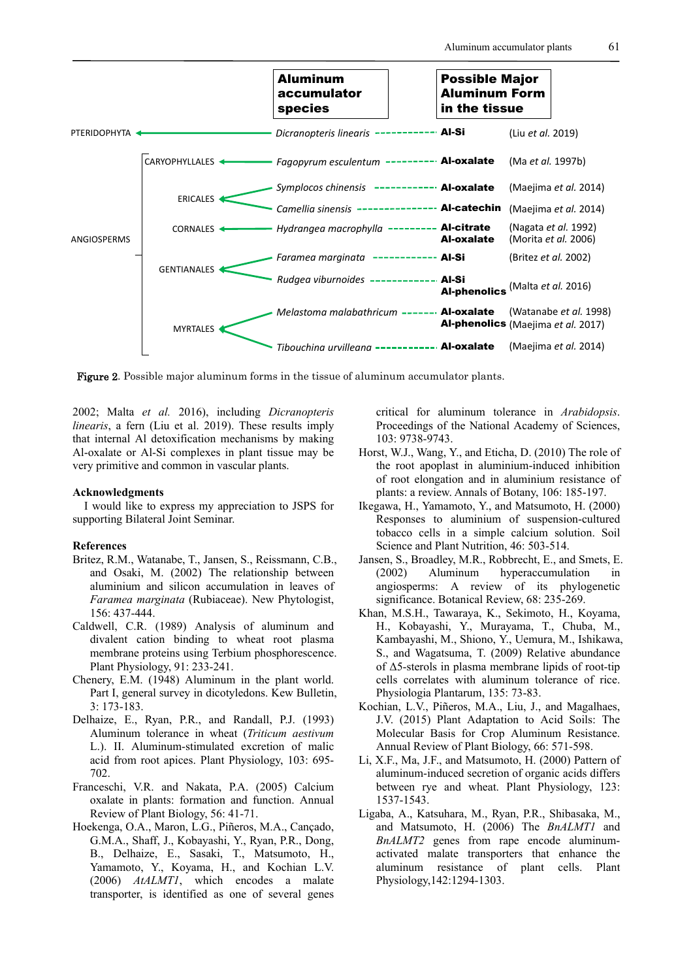

Figure 2. Possible major aluminum forms in the tissue of aluminum accumulator plants.

2002; Malta *et al.* 2016), including *Dicranopteris linearis*, a fern (Liu et al. 2019). These results imply that internal Al detoxification mechanisms by making Al-oxalate or Al-Si complexes in plant tissue may be very primitive and common in vascular plants.

#### **Acknowledgments**

I would like to express my appreciation to JSPS for supporting Bilateral Joint Seminar.

#### **References**

- Britez, R.M., Watanabe, T., Jansen, S., Reissmann, C.B., and Osaki, M. (2002) The relationship between aluminium and silicon accumulation in leaves of *Faramea marginata* (Rubiaceae). New Phytologist, 156: 437-444.
- Caldwell, C.R. (1989) Analysis of aluminum and divalent cation binding to wheat root plasma membrane proteins using Terbium phosphorescence. Plant Physiology, 91: 233-241.
- Chenery, E.M. (1948) Aluminum in the plant world. Part I, general survey in dicotyledons. Kew Bulletin, 3: 173-183.
- Delhaize, E., Ryan, P.R., and Randall, P.J. (1993) Aluminum tolerance in wheat (*Triticum aestivum* L.). II. Aluminum-stimulated excretion of malic acid from root apices. Plant Physiology, 103: 695- 702.
- Franceschi, V.R. and Nakata, P.A. (2005) Calcium oxalate in plants: formation and function. Annual Review of Plant Biology, 56: 41-71.
- Hoekenga, O.A., Maron, L.G., Piñeros, M.A., Cançado, G.M.A., Shaff, J., Kobayashi, Y., Ryan, P.R., Dong, B., Delhaize, E., Sasaki, T., Matsumoto, H., Yamamoto, Y., Koyama, H., and Kochian L.V. (2006) *AtALMT1*, which encodes a malate transporter, is identified as one of several genes

critical for aluminum tolerance in *Arabidopsis*. Proceedings of the National Academy of Sciences, 103: 9738-9743.

- Horst, W.J., Wang, Y., and Eticha, D. (2010) The role of the root apoplast in aluminium-induced inhibition of root elongation and in aluminium resistance of plants: a review. Annals of Botany, 106: 185-197.
- Ikegawa, H., Yamamoto, Y., and Matsumoto, H. (2000) Responses to aluminium of suspension-cultured tobacco cells in a simple calcium solution. Soil Science and Plant Nutrition, 46: 503-514.
- Jansen, S., Broadley, M.R., Robbrecht, E., and Smets, E. (2002) Aluminum hyperaccumulation in angiosperms: A review of its phylogenetic significance. Botanical Review, 68: 235-269.
- Khan, M.S.H., Tawaraya, K., Sekimoto, H., Koyama, H., Kobayashi, Y., Murayama, T., Chuba, M., Kambayashi, M., Shiono, Y., Uemura, M., Ishikawa, S., and Wagatsuma, T. (2009) Relative abundance of Δ5-sterols in plasma membrane lipids of root-tip cells correlates with aluminum tolerance of rice. Physiologia Plantarum, 135: 73-83.
- Kochian, L.V., Piñeros, M.A., Liu, J., and Magalhaes, J.V. (2015) Plant Adaptation to Acid Soils: The Molecular Basis for Crop Aluminum Resistance. Annual Review of Plant Biology, 66: 571-598.
- Li, X.F., Ma, J.F., and Matsumoto, H. (2000) Pattern of aluminum-induced secretion of organic acids differs between rye and wheat. Plant Physiology, 123: 1537-1543.
- Ligaba, A., Katsuhara, M., Ryan, P.R., Shibasaka, M., and Matsumoto, H. (2006) The *BnALMT1* and *BnALMT2* genes from rape encode aluminumactivated malate transporters that enhance the aluminum resistance of plant cells. Plant Physiology,142:1294-1303.